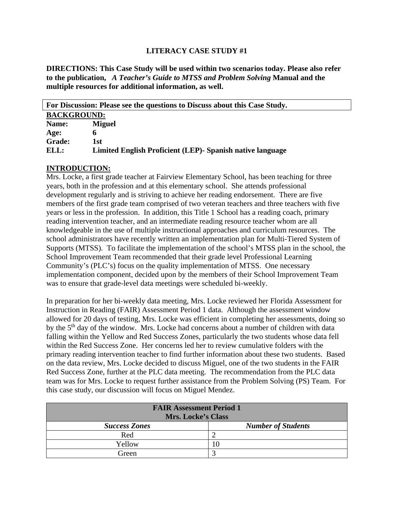### **LITERACY CASE STUDY #1**

**DIRECTIONS: This Case Study will be used within two scenarios today. Please also refer to the publication,** *A Teacher's Guide to MTSS and Problem Solving* **Manual and the multiple resources for additional information, as well.**

| For Discussion: Please see the questions to Discuss about this Case Study. |                                                            |  |  |
|----------------------------------------------------------------------------|------------------------------------------------------------|--|--|
| <b>BACKGROUND:</b>                                                         |                                                            |  |  |
| Name:                                                                      | <b>Miguel</b>                                              |  |  |
| Age:                                                                       | n                                                          |  |  |
| <b>Grade:</b>                                                              | 1st                                                        |  |  |
| ELL:                                                                       | Limited English Proficient (LEP) - Spanish native language |  |  |

### **INTRODUCTION:**

Mrs. Locke, a first grade teacher at Fairview Elementary School, has been teaching for three years, both in the profession and at this elementary school. She attends professional development regularly and is striving to achieve her reading endorsement. There are five members of the first grade team comprised of two veteran teachers and three teachers with five years or less in the profession. In addition, this Title 1 School has a reading coach, primary reading intervention teacher, and an intermediate reading resource teacher whom are all knowledgeable in the use of multiple instructional approaches and curriculum resources. The school administrators have recently written an implementation plan for Multi-Tiered System of Supports (MTSS). To facilitate the implementation of the school's MTSS plan in the school, the School Improvement Team recommended that their grade level Professional Learning Community's (PLC's) focus on the quality implementation of MTSS. One necessary implementation component, decided upon by the members of their School Improvement Team was to ensure that grade-level data meetings were scheduled bi-weekly.

In preparation for her bi-weekly data meeting, Mrs. Locke reviewed her Florida Assessment for Instruction in Reading (FAIR) Assessment Period 1 data. Although the assessment window allowed for 20 days of testing, Mrs. Locke was efficient in completing her assessments, doing so by the 5<sup>th</sup> day of the window. Mrs. Locke had concerns about a number of children with data falling within the Yellow and Red Success Zones, particularly the two students whose data fell within the Red Success Zone. Her concerns led her to review cumulative folders with the primary reading intervention teacher to find further information about these two students. Based on the data review, Mrs. Locke decided to discuss Miguel, one of the two students in the FAIR Red Success Zone, further at the PLC data meeting. The recommendation from the PLC data team was for Mrs. Locke to request further assistance from the Problem Solving (PS) Team. For this case study, our discussion will focus on Miguel Mendez.

| <b>FAIR Assessment Period 1</b><br><b>Mrs. Locke's Class</b> |                           |  |  |  |
|--------------------------------------------------------------|---------------------------|--|--|--|
| <b>Success Zones</b>                                         | <b>Number of Students</b> |  |  |  |
| Red                                                          |                           |  |  |  |
| Yellow                                                       |                           |  |  |  |
| Green                                                        |                           |  |  |  |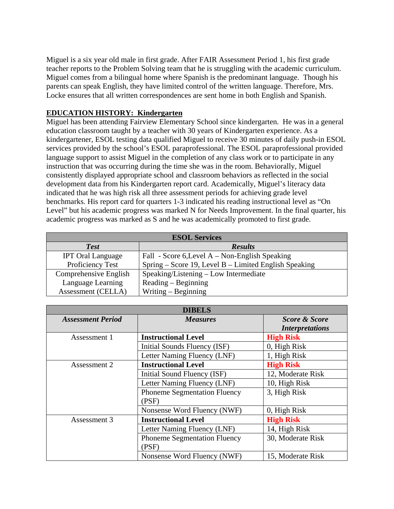Miguel is a six year old male in first grade. After FAIR Assessment Period 1, his first grade teacher reports to the Problem Solving team that he is struggling with the academic curriculum. Miguel comes from a bilingual home where Spanish is the predominant language. Though his parents can speak English, they have limited control of the written language. Therefore, Mrs. Locke ensures that all written correspondences are sent home in both English and Spanish.

## **EDUCATION HISTORY: Kindergarten**

Miguel has been attending Fairview Elementary School since kindergarten. He was in a general education classroom taught by a teacher with 30 years of Kindergarten experience. As a kindergartener, ESOL testing data qualified Miguel to receive 30 minutes of daily push-in ESOL services provided by the school's ESOL paraprofessional. The ESOL paraprofessional provided language support to assist Miguel in the completion of any class work or to participate in any instruction that was occurring during the time she was in the room. Behaviorally, Miguel consistently displayed appropriate school and classroom behaviors as reflected in the social development data from his Kindergarten report card. Academically, Miguel's literacy data indicated that he was high risk all three assessment periods for achieving grade level benchmarks. His report card for quarters 1-3 indicated his reading instructional level as "On Level" but his academic progress was marked N for Needs Improvement. In the final quarter, his academic progress was marked as S and he was academically promoted to first grade.

| <b>ESOL Services</b>     |                                                       |  |  |  |
|--------------------------|-------------------------------------------------------|--|--|--|
| <b>Test</b>              | <b>Results</b>                                        |  |  |  |
| <b>IPT Oral Language</b> | Fall - Score 6, Level A – Non-English Speaking        |  |  |  |
| Proficiency Test         | Spring – Score 19, Level B – Limited English Speaking |  |  |  |
| Comprehensive English    | Speaking/Listening - Low Intermediate                 |  |  |  |
| Language Learning        | $Reading - Beginning$                                 |  |  |  |
| Assessment (CELLA)       | Writing $-$ Beginning                                 |  |  |  |

| <b>DIBELS</b>            |                                              |                                                    |  |  |
|--------------------------|----------------------------------------------|----------------------------------------------------|--|--|
| <b>Assessment Period</b> | <b>Measures</b>                              | <b>Score &amp; Score</b><br><b>Interpretations</b> |  |  |
| Assessment 1             | <b>Instructional Level</b>                   | <b>High Risk</b>                                   |  |  |
|                          | Initial Sounds Fluency (ISF)                 | 0, High Risk                                       |  |  |
|                          | Letter Naming Fluency (LNF)                  | 1, High Risk                                       |  |  |
| Assessment 2             | <b>Instructional Level</b>                   | <b>High Risk</b>                                   |  |  |
|                          | Initial Sound Fluency (ISF)                  | 12, Moderate Risk                                  |  |  |
|                          | Letter Naming Fluency (LNF)                  | 10, High Risk                                      |  |  |
|                          | <b>Phoneme Segmentation Fluency</b><br>(PSF) | 3, High Risk                                       |  |  |
|                          | Nonsense Word Fluency (NWF)                  | 0, High Risk                                       |  |  |
| Assessment 3             | <b>Instructional Level</b>                   | <b>High Risk</b>                                   |  |  |
|                          | Letter Naming Fluency (LNF)                  | 14, High Risk                                      |  |  |
|                          | <b>Phoneme Segmentation Fluency</b><br>(PSF) | 30, Moderate Risk                                  |  |  |
|                          | Nonsense Word Fluency (NWF)                  | 15, Moderate Risk                                  |  |  |